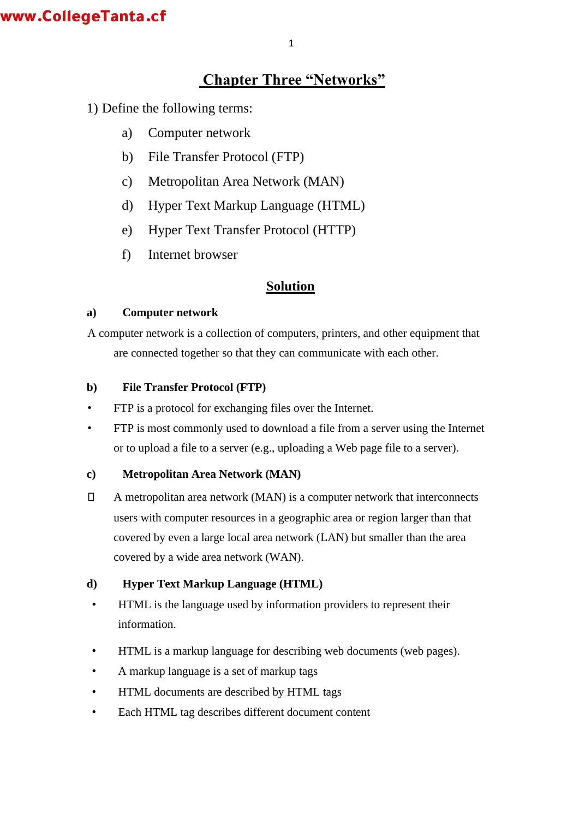# **Chapter Three "Networks"**

1) Define the following terms:

- a) Computer network
- b) File Transfer Protocol (FTP)
- c) Metropolitan Area Network (MAN)
- d) Hyper Text Markup Language (HTML)
- e) Hyper Text Transfer Protocol (HTTP)
- f) Internet browser

### **Solution**

### **a) Computer network**

A computer network is a collection of computers, printers, and other equipment that are connected together so that they can communicate with each other.

### **b) File Transfer Protocol (FTP)**

- FTP is a [protocol f](http://www.webopedia.com/TERM/P/protocol.html)or exchanging [files o](http://www.webopedia.com/TERM/F/file.html)ver the [Internet.](http://www.webopedia.com/TERM/I/internet.html)
- FTP is most commonly used to [download a](http://www.webopedia.com/TERM/D/download.html) file from a server using the Internet or to [upload a](http://www.webopedia.com/TERM/U/upload.html) file to a server (e.g., uploading a Web page file to a server).

### **c) Metropolitan Area Network (MAN)**

 $\Box$ A metropolitan area network (MAN) is a computer network that interconnects users with computer resources in a geographic area or region larger than that covered by even a large local area network [\(LAN\)](http://searchnetworking.techtarget.com/definition/local-area-network-LAN) but smaller than the area covered by a [wide area network \(WAN\).](http://searchenterprisewan.techtarget.com/definition/WAN) 

### **d) Hyper Text Markup Language (HTML)**

- HTML is the language used by information providers to represent their information.
- HTML is a markup language for describing web documents (web pages).
- A markup language is a set of markup tags
- HTML documents are described by HTML tags
- Each HTML tag describes different document content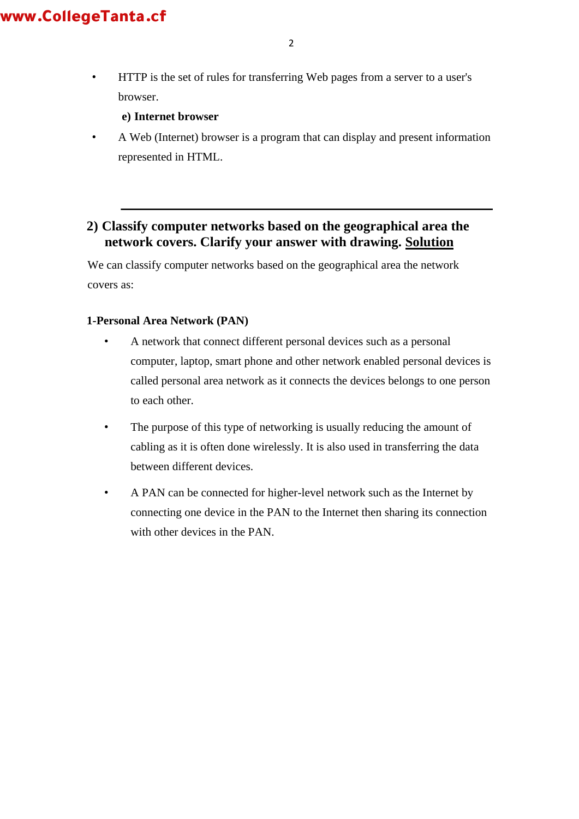• [HTTP i](http://www.webopedia.com/TERM/H/HTTP.html)s the set of rules for transferring Web pages from a [server t](http://www.webopedia.com/TERM/S/server.html)o a user's browser.

#### **e) Internet browser**

• A Web (Internet) browser is a program that can display and present information represented in HTML.

### **2) Classify computer networks based on the geographical area the network covers. Clarify your answer with drawing. Solution**

We can classify computer networks based on the geographical area the network covers as:

#### **1-Personal Area Network (PAN)**

- A network that connect different personal devices such as a personal computer, laptop, smart phone and other network enabled personal devices is called personal area network as it connects the devices belongs to one person to each other.
- The purpose of this type of networking is usually reducing the amount of cabling as it is often done wirelessly. It is also used in transferring the data between different devices.
- A PAN can be connected for higher-level network such as the Internet by connecting one device in the PAN to the Internet then sharing its connection with other devices in the PAN.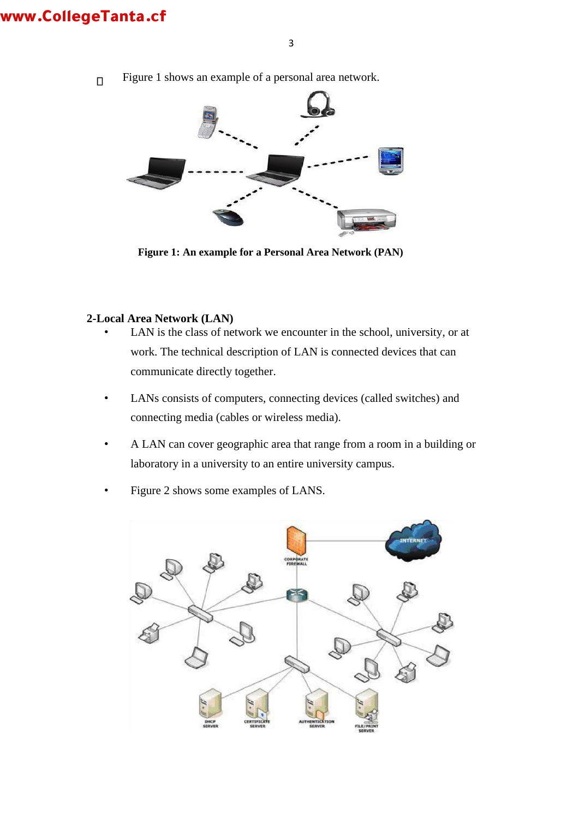- 3
- Figure 1 shows an example of a personal area network.  $\Box$



**Figure 1: An example for a Personal Area Network (PAN)** 

#### **2-Local Area Network (LAN)**

- LAN is the class of network we encounter in the school, university, or at work. The technical description of LAN is connected devices that can communicate directly together.
- LANs consists of computers, connecting devices (called switches) and connecting media (cables or wireless media).
- A LAN can cover geographic area that range from a room in a building or laboratory in a university to an entire university campus.
- Figure 2 shows some examples of LANS.

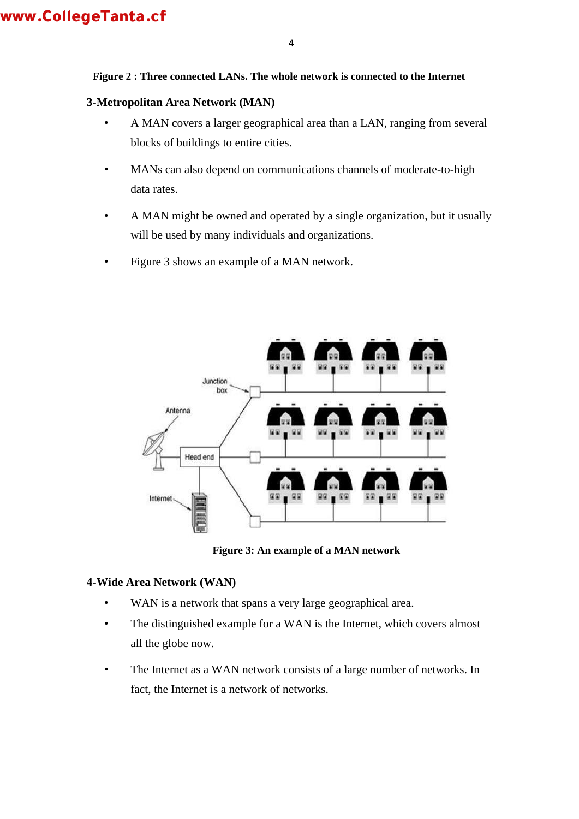#### **Figure 2 : Three connected LANs. The whole network is connected to the Internet**

#### **3-Metropolitan Area Network (MAN)**

- A MAN covers a larger geographical area than a LAN, ranging from several blocks of buildings to entire cities.
- MANs can also depend on communications channels of moderate-to-high data rates.
- A MAN might be owned and operated by a single organization, but it usually will be used by many individuals and organizations.
- Figure 3 shows an example of a MAN network.



**Figure 3: An example of a MAN network** 

#### **4-Wide Area Network (WAN)**

- WAN is a network that spans a very large geographical area.
- The distinguished example for a WAN is the Internet, which covers almost all the globe now.
- The Internet as a WAN network consists of a large number of networks. In fact, the Internet is a network of networks.

4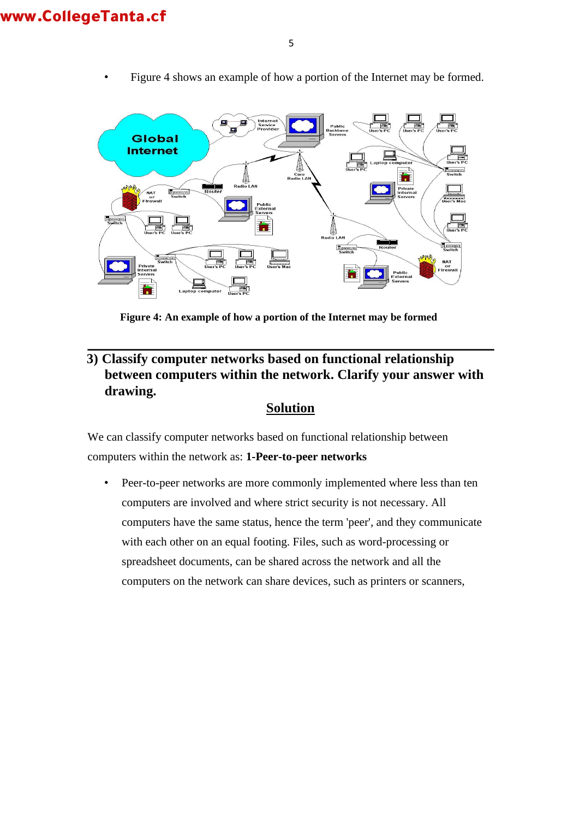

• Figure 4 shows an example of how a portion of the Internet may be formed.

**Figure 4: An example of how a portion of the Internet may be formed**

## **3) Classify computer networks based on functional relationship between computers within the network. Clarify your answer with drawing.**

### **Solution**

We can classify computer networks based on functional relationship between computers within the network as: **1-Peer-to-peer networks** 

• Peer-to-peer networks are more commonly implemented where less than ten computers are involved and where strict security is not necessary. All computers have the same status, hence the term 'peer', and they communicate with each other on an equal footing. Files, such as word-processing or spreadsheet documents, can be shared across the network and all the computers on the network can share devices, such as printers or scanners,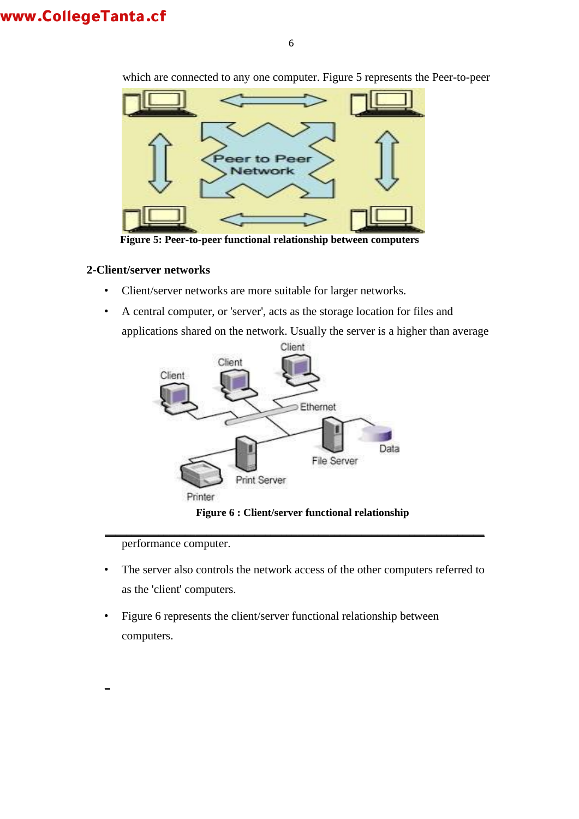

which are connected to any one computer. Figure 5 represents the Peer-to-peer

**Figure 5: Peer-to-peer functional relationship between computers**

#### **2-Client/server networks**

- Client/server networks are more suitable for larger networks.
- A central computer, or 'server', acts as the storage location for files and applications shared on the network. Usually the server is a higher than average



**Figure 6 : Client/server functional relationship** 

performance computer.

**\_**

• The server also controls the network access of the other computers referred to as the 'client' computers.

**\_\_\_\_\_\_\_\_\_\_\_\_\_\_\_\_\_\_\_\_\_\_\_\_\_\_\_\_\_\_\_\_\_\_\_\_\_\_\_\_\_\_\_\_\_\_\_\_\_\_\_\_\_\_\_\_\_\_\_\_\_\_\_\_\_\_\_\_\_\_\_**

• Figure 6 represents the client/server functional relationship between computers.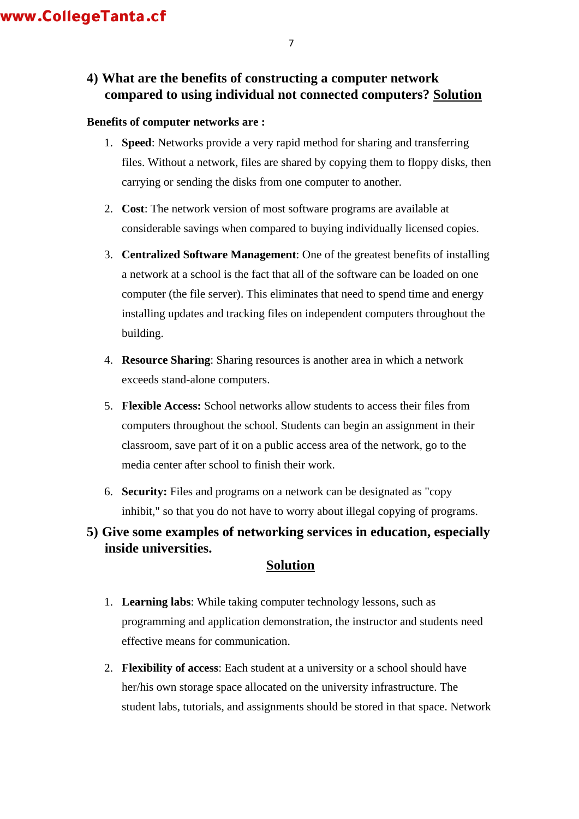## **4) What are the benefits of constructing a computer network compared to using individual not connected computers? Solution**

### **Benefits of computer networks are :**

- 1. **Speed**: Networks provide a very rapid method for sharing and transferring files. Without a network, files are shared by copying them to floppy disks, then carrying or sending the disks from one computer to another.
- 2. **Cost**: The network version of most software programs are available at considerable savings when compared to buying individually licensed copies.
- 3. **Centralized Software Management**: One of the greatest benefits of installing a network at a school is the fact that all of the software can be loaded on one computer (the file server). This eliminates that need to spend time and energy installing updates and tracking files on independent computers throughout the building.
- 4. **Resource Sharing**: Sharing resources is another area in which a network exceeds stand-alone computers.
- 5. **Flexible Access:** School networks allow students to access their files from computers throughout the school. Students can begin an assignment in their classroom, save part of it on a public access area of the network, go to the media center after school to finish their work.
- 6. **Security:** Files and programs on a network can be designated as "copy inhibit," so that you do not have to worry about illegal copying of programs.

## **5) Give some examples of networking services in education, especially inside universities.**

### **Solution**

- 1. **Learning labs**: While taking computer technology lessons, such as programming and application demonstration, the instructor and students need effective means for communication.
- 2. **Flexibility of access**: Each student at a university or a school should have her/his own storage space allocated on the university infrastructure. The student labs, tutorials, and assignments should be stored in that space. Network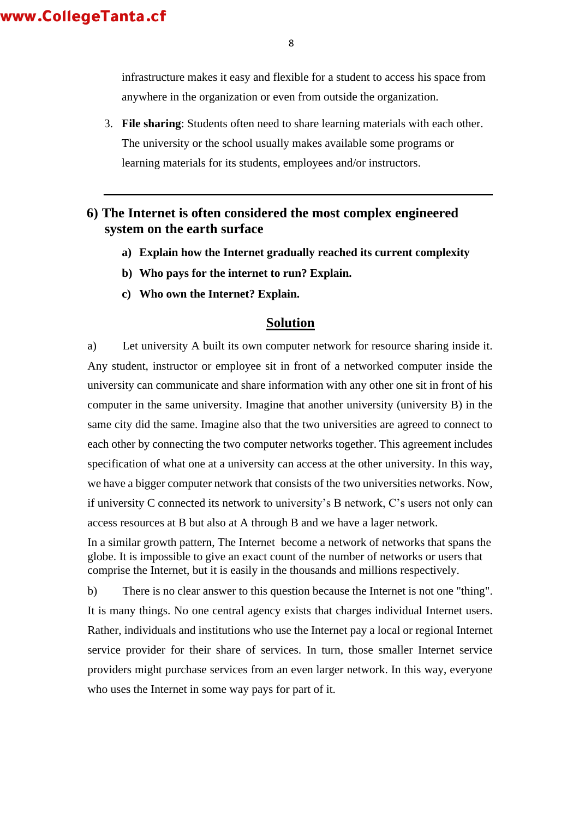8

infrastructure makes it easy and flexible for a student to access his space from anywhere in the organization or even from outside the organization.

3. **File sharing**: Students often need to share learning materials with each other. The university or the school usually makes available some programs or learning materials for its students, employees and/or instructors.

### **6) The Internet is often considered the most complex engineered system on the earth surface**

- **a) Explain how the Internet gradually reached its current complexity**
- **b) Who pays for the internet to run? Explain.**
- **c) Who own the Internet? Explain.**

### **Solution**

a) Let university A built its own computer network for resource sharing inside it. Any student, instructor or employee sit in front of a networked computer inside the university can communicate and share information with any other one sit in front of his computer in the same university. Imagine that another university (university B) in the same city did the same. Imagine also that the two universities are agreed to connect to each other by connecting the two computer networks together. This agreement includes specification of what one at a university can access at the other university. In this way, we have a bigger computer network that consists of the two universities networks. Now, if university C connected its network to university's B network, C's users not only can access resources at B but also at A through B and we have a lager network.

In a similar growth pattern, The Internet become a network of networks that spans the globe. It is impossible to give an exact count of the number of networks or users that comprise the Internet, but it is easily in the thousands and millions respectively.

b) There is no clear answer to this question because the Internet is not one "thing". It is many things. No one central agency exists that charges individual Internet users. Rather, individuals and institutions who use the Internet pay a local or regional Internet service provider for their share of services. In turn, those smaller Internet service providers might purchase services from an even larger network. In this way, everyone who uses the Internet in some way pays for part of it.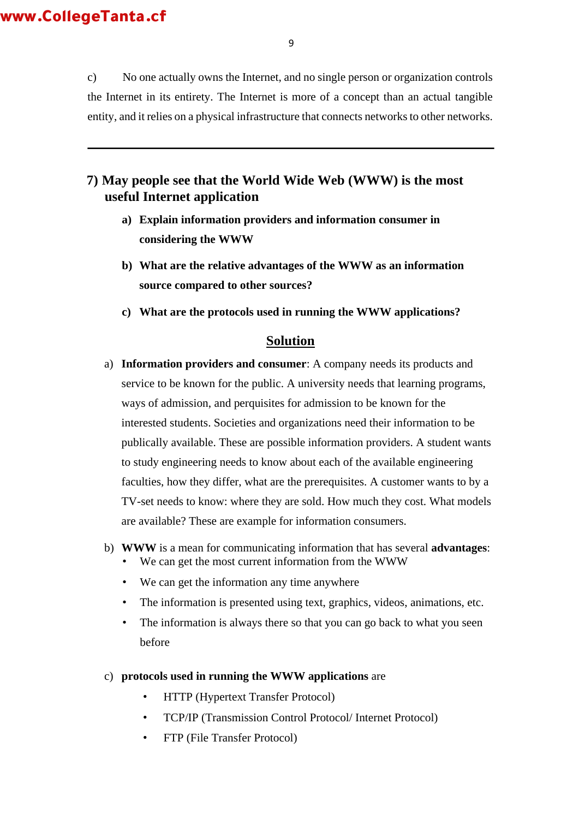c) No one actually owns the Internet, and no single person or organization controls the Internet in its entirety. The Internet is more of a concept than an actual tangible entity, and it relies on a physical infrastructure that connects [networks t](http://www.webopedia.com/TERM/N/network.html)o other networks.

### **7) May people see that the World Wide Web (WWW) is the most useful Internet application**

- **a) Explain information providers and information consumer in considering the WWW**
- **b) What are the relative advantages of the WWW as an information source compared to other sources?**
- **c) What are the protocols used in running the WWW applications?**

#### **Solution**

- a) **Information providers and consumer**: A company needs its products and service to be known for the public. A university needs that learning programs, ways of admission, and perquisites for admission to be known for the interested students. Societies and organizations need their information to be publically available. These are possible information providers. A student wants to study engineering needs to know about each of the available engineering faculties, how they differ, what are the prerequisites. A customer wants to by a TV-set needs to know: where they are sold. How much they cost. What models are available? These are example for information consumers.
- b) **WWW** is a mean for communicating information that has several **advantages**:
	- We can get the most current information from the WWW
	- We can get the information any time anywhere
	- The information is presented using text, graphics, videos, animations, etc.
	- The information is always there so that you can go back to what you seen before
- c) **protocols used in running the WWW applications** are
	- HTTP (Hypertext Transfer Protocol)
	- TCP/IP (Transmission Control Protocol/ Internet Protocol)
	- FTP (File Transfer Protocol)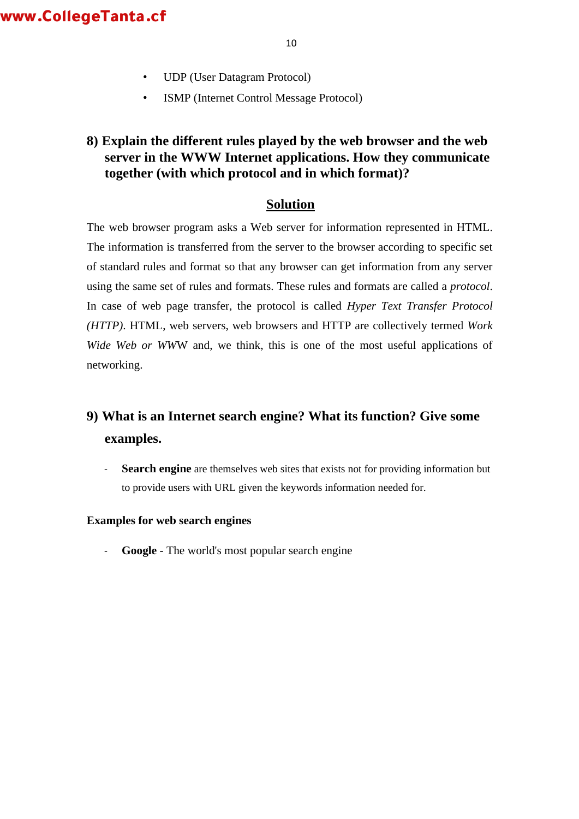- UDP (User Datagram Protocol)
- ISMP (Internet Control Message Protocol)

## **8) Explain the different rules played by the web browser and the web server in the WWW Internet applications. How they communicate together (with which protocol and in which format)?**

### **Solution**

The web browser program asks a Web server for information represented in HTML. The information is transferred from the server to the browser according to specific set of standard rules and format so that any browser can get information from any server using the same set of rules and formats. These rules and formats are called a *protocol*. In case of web page transfer, the protocol is called *Hyper Text Transfer Protocol (HTTP)*. HTML, web servers, web browsers and HTTP are collectively termed *Work Wide Web or WW*W and, we think, this is one of the most useful applications of networking.

# **9) What is an Internet search engine? What its function? Give some examples.**

**Search engine** are themselves web sites that exists not for providing information but to provide users with URL given the keywords information needed for.

#### **Examples for web search engines**

Google - The world's most popular search engine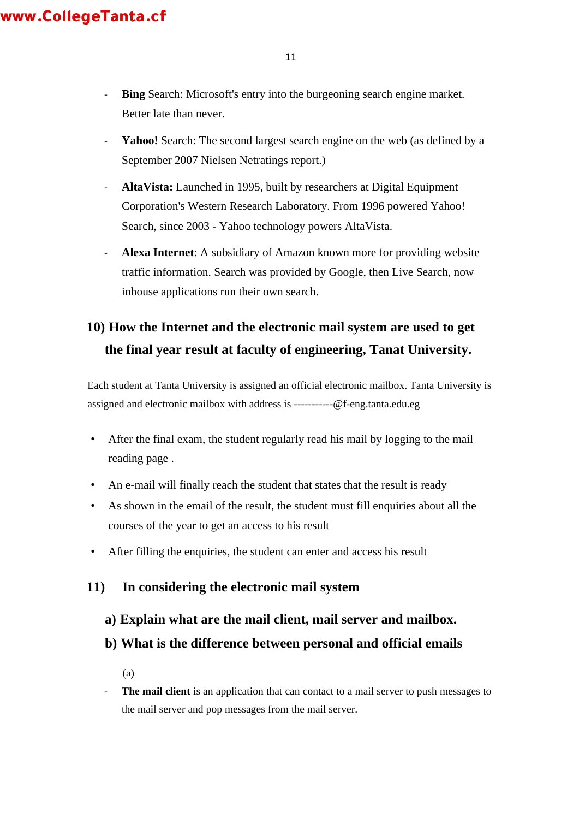- **Bing** Search: Microsoft's entry into the burgeoning search engine market. Better late than never.
- Yahoo! Search: The second largest search engine on the web (as defined by a September 2007 [Nielsen Netratings r](http://www.nielsen-netratings.com/pr/pr_070919.pdf)eport.)
- **AltaVista:** Launched in 1995, built by researchers at Digital Equipment Corporation's Western Research Laboratory. From 1996 powered Yahoo! Search, since 2003 - Yahoo technology powers AltaVista.
- **Alexa Internet**: A subsidiary of Amazon known more for providing website traffic information. Search was provided by Google, then Live Search, now inhouse applications run their own search.

# **10) How the Internet and the electronic mail system are used to get the final year result at faculty of engineering, Tanat University.**

Each student at Tanta University is assigned an official electronic mailbox. Tanta University is assigned and electronic mailbox with address is -----------@f-eng.tanta.edu.eg

- After the final exam, the student regularly read his mail by logging to the mail reading page .
- An e-mail will finally reach the student that states that the result is ready
- As shown in the email of the result, the student must fill enquiries about all the courses of the year to get an access to his result
- After filling the enquiries, the student can enter and access his result

# **11) In considering the electronic mail system**

### **a) Explain what are the mail client, mail server and mailbox.**

**b) What is the difference between personal and official emails** 

(a)

- **The mail client** is an application that can contact to a mail server to push messages to the mail server and pop messages from the mail server.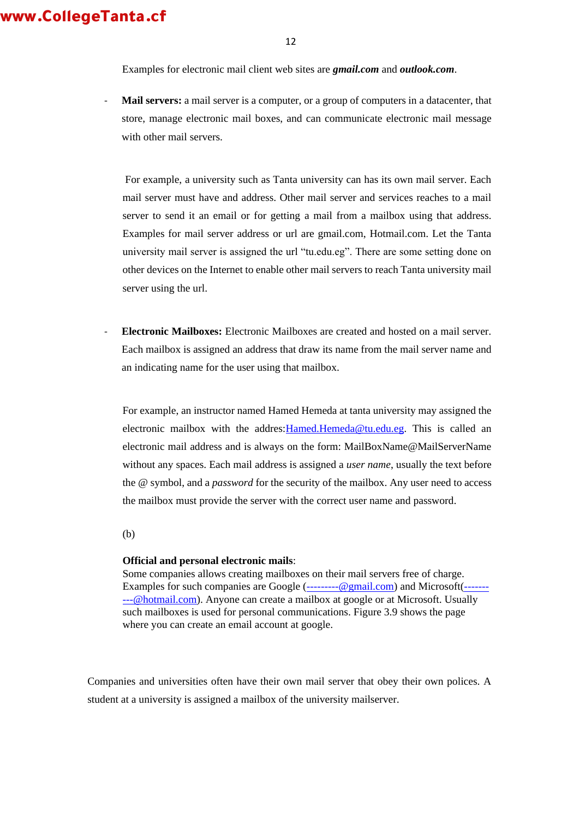12

Examples for electronic mail client web sites are *gmail.com* and *outlook.com*.

Mail servers: a mail server is a computer, or a group of computers in a datacenter, that store, manage electronic mail boxes, and can communicate electronic mail message with other mail servers.

For example, a university such as Tanta university can has its own mail server. Each mail server must have and address. Other mail server and services reaches to a mail server to send it an email or for getting a mail from a mailbox using that address. Examples for mail server address or url are gmail.com, Hotmail.com. Let the Tanta university mail server is assigned the url "tu.edu.eg". There are some setting done on other devices on the Internet to enable other mail servers to reach Tanta university mail server using the url.

- **Electronic Mailboxes:** Electronic Mailboxes are created and hosted on a mail server. Each mailbox is assigned an address that draw its name from the mail server name and an indicating name for the user using that mailbox.

For example, an instructor named Hamed Hemeda at tanta university may assigned the electronic mailbox with the addres:Hamed.Hemeda@tu.edu.eg. This is called an electronic mail address and is always on the form: MailBoxName@MailServerName without any spaces. Each mail address is assigned a *user name*, usually the text before the @ symbol, and a *password* for the security of the mailbox. Any user need to access the mailbox must provide the server with the correct user name and password.

(b)

#### **Official and personal electronic mails**:

Some companies allows creating mailboxes on their mail servers free of charge. Examples for such companies are Google (---------@gmail.com) and Microsoft(----------@hotmail.com). Anyone can create a mailbox at google or at Microsoft. Usually such mailboxes is used for personal communications. Figure 3.9 shows the page where you can create an email account at google.

Companies and universities often have their own mail server that obey their own polices. A student at a university is assigned a mailbox of the university mailserver.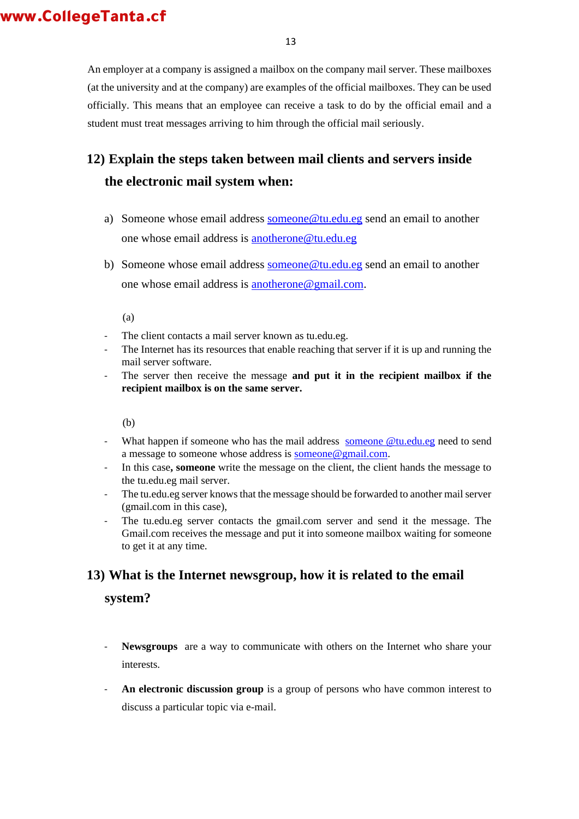An employer at a company is assigned a mailbox on the company mail server. These mailboxes (at the university and at the company) are examples of the official mailboxes. They can be used officially. This means that an employee can receive a task to do by the official email and a student must treat messages arriving to him through the official mail seriously.

# **12) Explain the steps taken between mail clients and servers inside the electronic mail system when:**

- a) Someone whose email address someone@tu.edu.eg send an email to another one whose email address is anotherone@tu.edu.eg
- b) Someone whose email address someone@tu.edu.eg send an email to another one whose email address is **anotherone@gmail.com**.

(a)

- The client contacts a mail server known as tu.edu.eg.
- The Internet has its resources that enable reaching that server if it is up and running the mail server software.
- The server then receive the message **and put it in the recipient mailbox if the recipient mailbox is on the same server.**

(b)

- What happen if someone who has the mail address someone @tu.edu.eg need to send a message to someone whose address is someone@gmail.com.
- In this case, **someone** write the message on the client, the client hands the message to the tu.edu.eg mail server.
- The tu.edu.eg server knows that the message should be forwarded to another mail server (gmail.com in this case),
- The tu.edu.eg server contacts the gmail.com server and send it the message. The Gmail.com receives the message and put it into someone mailbox waiting for someone to get it at any time.

### **13) What is the Internet newsgroup, how it is related to the email**

**system?** 

- **Newsgroups** are a way to communicate with others on the Internet who share your interests.
- An electronic discussion group is a group of persons who have common interest to discuss a particular topic via e-mail.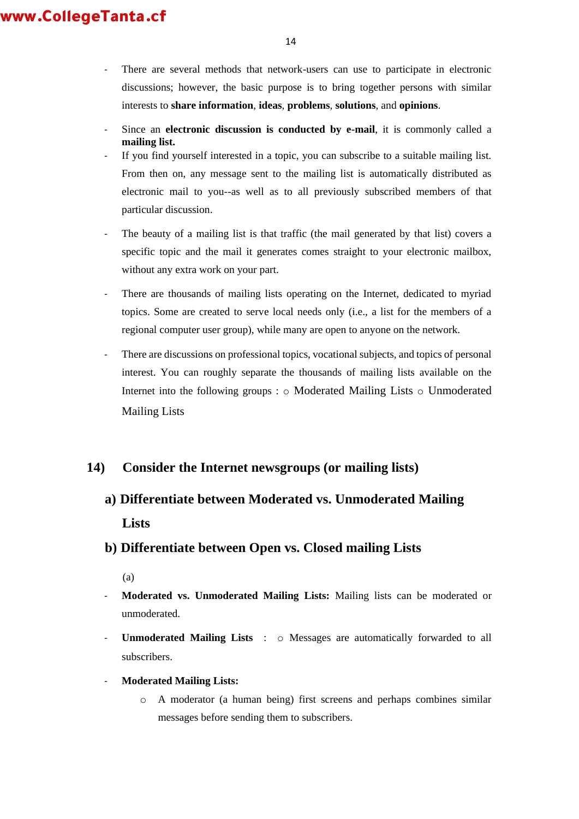- There are several methods that network-users can use to participate in electronic discussions; however, the basic purpose is to bring together persons with similar interests to **share information**, **ideas**, **problems**, **solutions**, and **opinions**.
- Since an **electronic discussion is conducted by e-mail**, it is commonly called a **mailing list.**
- If you find yourself interested in a topic, you can subscribe to a suitable mailing list. From then on, any message sent to the mailing list is automatically distributed as electronic mail to you--as well as to all previously subscribed members of that particular discussion.
- The beauty of a mailing list is that traffic (the mail generated by that list) covers a specific topic and the mail it generates comes straight to your electronic mailbox, without any extra work on your part.
- There are thousands of mailing lists operating on the Internet, dedicated to myriad topics. Some are created to serve local needs only (i.e., a list for the members of a regional computer user group), while many are open to anyone on the network.
- There are discussions on professional topics, vocational subjects, and topics of personal interest. You can roughly separate the thousands of mailing lists available on the Internet into the following groups : o Moderated Mailing Lists o Unmoderated Mailing Lists

## **14) Consider the Internet newsgroups (or mailing lists)**

**a) Differentiate between Moderated vs. Unmoderated Mailing Lists** 

## **b) Differentiate between Open vs. Closed mailing Lists**

(a)

- **Moderated vs. Unmoderated Mailing Lists:** Mailing lists can be moderated or unmoderated.
- **Unmoderated Mailing Lists** :  $\circ$  Messages are automatically forwarded to all subscribers.
- **Moderated Mailing Lists:**
	- o A moderator (a human being) first screens and perhaps combines similar messages before sending them to subscribers.

14